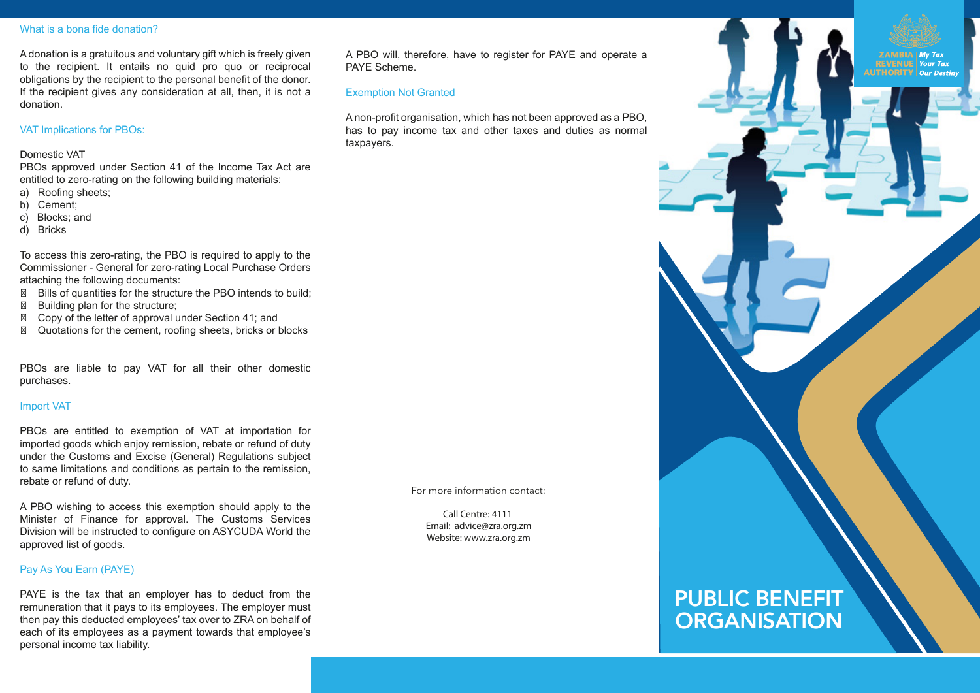#### What is a bona fide donation?

A donation is a gratuitous and voluntary gift which is freely given to the recipient. It entails no quid pro quo or reciprocal obligations by the recipient to the personal benefit of the donor. If the recipient gives any consideration at all, then, it is not a donation.

# VAT Implications for PBOs:

### Domestic VAT

PBOs approved under Section 41 of the Income Tax Act are entitled to zero-rating on the following building materials:

- a) Roofing sheets;
- b) Cement;
- c) Blocks; and
- d) Bricks

To access this zero-rating, the PBO is required to apply to the Commissioner - General for zero-rating Local Purchase Orders attaching the following documents:

- Bills of quantities for the structure the PBO intends to build; Building plan for the structure;
- Copy of the letter of approval under Section 41; and
- Quotations for the cement, roofing sheets, bricks or blocks

PBOs are liable to pay VAT for all their other domestic purchases.

#### Import VAT

PBOs are entitled to exemption of VAT at importation for imported goods which enjoy remission, rebate or refund of duty under the Customs and Excise (General) Regulations subject to same limitations and conditions as pertain to the remission, rebate or refund of duty.

A PBO wishing to access this exemption should apply to the Minister of Finance for approval. The Customs Services Division will be instructed to configure on ASYCUDA World the approved list of goods.

# Pay As You Earn (PAYE)

PAYE is the tax that an employer has to deduct from the remuneration that it pays to its employees. The employer must then pay this deducted employees' tax over to ZRA on behalf of each of its employees as a payment towards that employee's personal income tax liability.

A PBO will, therefore, have to register for PAYE and operate a PAYE Scheme.

#### Exemption Not Granted

A non-profit organisation, which has not been approved as a PBO, has to pay income tax and other taxes and duties as normal taxpayers.

For more information contact:

**Call Centre: 4111 Email: advice@zra.org.zm Website: www.zra.org.zm** 

# PUBLIC BENEFIT **ORGANISATION**